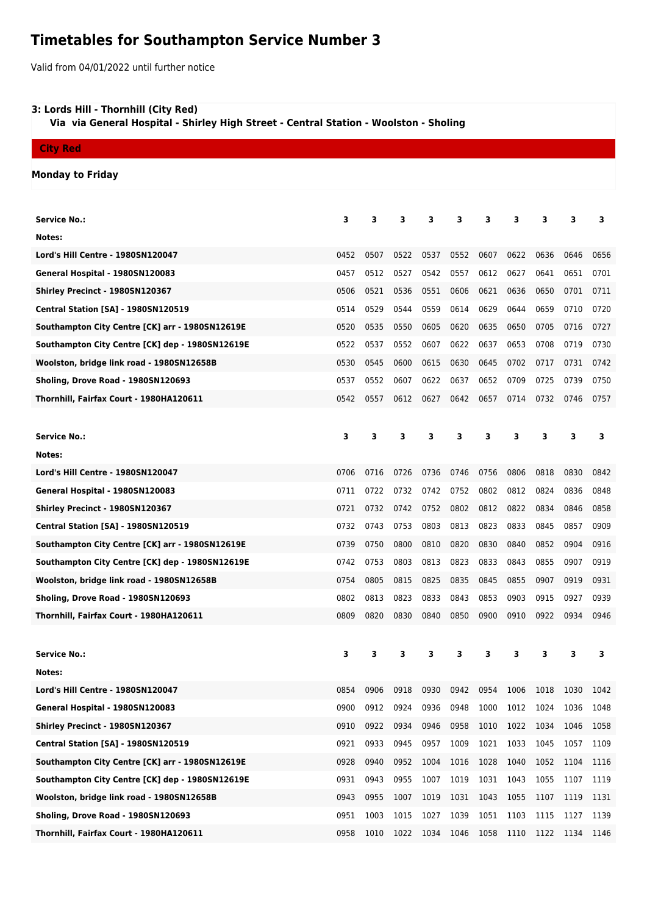## **Timetables for Southampton Service Number 3**

Valid from 04/01/2022 until further notice

## **3: Lords Hill - Thornhill (City Red)**

 **Via via General Hospital - Shirley High Street - Central Station - Woolston - Sholing**

**City Red**

## **Monday to Friday**

| <b>Service No.:</b>                             | 3    | 3    | 3    | 3    | 3    | 3    | з    | 3    | з    | 3    |
|-------------------------------------------------|------|------|------|------|------|------|------|------|------|------|
| Notes:                                          |      |      |      |      |      |      |      |      |      |      |
| Lord's Hill Centre - 1980SN120047               | 0452 | 0507 | 0522 | 0537 | 0552 | 0607 | 0622 | 0636 | 0646 | 0656 |
| General Hospital - 1980SN120083                 | 0457 | 0512 | 0527 | 0542 | 0557 | 0612 | 0627 | 0641 | 0651 | 0701 |
| Shirley Precinct - 1980SN120367                 | 0506 | 0521 | 0536 | 0551 | 0606 | 0621 | 0636 | 0650 | 0701 | 0711 |
| Central Station [SA] - 1980SN120519             | 0514 | 0529 | 0544 | 0559 | 0614 | 0629 | 0644 | 0659 | 0710 | 0720 |
| Southampton City Centre [CK] arr - 1980SN12619E | 0520 | 0535 | 0550 | 0605 | 0620 | 0635 | 0650 | 0705 | 0716 | 0727 |
| Southampton City Centre [CK] dep - 1980SN12619E | 0522 | 0537 | 0552 | 0607 | 0622 | 0637 | 0653 | 0708 | 0719 | 0730 |
| Woolston, bridge link road - 1980SN12658B       | 0530 | 0545 | 0600 | 0615 | 0630 | 0645 | 0702 | 0717 | 0731 | 0742 |
| Sholing, Drove Road - 1980SN120693              | 0537 | 0552 | 0607 | 0622 | 0637 | 0652 | 0709 | 0725 | 0739 | 0750 |
| Thornhill, Fairfax Court - 1980HA120611         | 0542 | 0557 | 0612 | 0627 | 0642 | 0657 | 0714 | 0732 | 0746 | 0757 |
|                                                 |      |      |      |      |      |      |      |      |      |      |
| <b>Service No.:</b>                             | 3    | 3    | 3    | 3    | 3    | 3    | 3    | 3    | 3    | з    |
| Notes:                                          |      |      |      |      |      |      |      |      |      |      |
| Lord's Hill Centre - 1980SN120047               | 0706 | 0716 | 0726 | 0736 | 0746 | 0756 | 0806 | 0818 | 0830 | 0842 |
| General Hospital - 1980SN120083                 | 0711 | 0722 | 0732 | 0742 | 0752 | 0802 | 0812 | 0824 | 0836 | 0848 |
| Shirley Precinct - 1980SN120367                 | 0721 | 0732 | 0742 | 0752 | 0802 | 0812 | 0822 | 0834 | 0846 | 0858 |
| <b>Central Station [SA] - 1980SN120519</b>      | 0732 | 0743 | 0753 | 0803 | 0813 | 0823 | 0833 | 0845 | 0857 | 0909 |
| Southampton City Centre [CK] arr - 1980SN12619E | 0739 | 0750 | 0800 | 0810 | 0820 | 0830 | 0840 | 0852 | 0904 | 0916 |
| Southampton City Centre [CK] dep - 1980SN12619E | 0742 | 0753 | 0803 | 0813 | 0823 | 0833 | 0843 | 0855 | 0907 | 0919 |
| Woolston, bridge link road - 1980SN12658B       | 0754 | 0805 | 0815 | 0825 | 0835 | 0845 | 0855 | 0907 | 0919 | 0931 |
| Sholing, Drove Road - 1980SN120693              | 0802 | 0813 | 0823 | 0833 | 0843 | 0853 | 0903 | 0915 | 0927 | 0939 |
| Thornhill, Fairfax Court - 1980HA120611         | 0809 | 0820 | 0830 | 0840 | 0850 | 0900 | 0910 | 0922 | 0934 | 0946 |
|                                                 |      |      |      |      |      |      |      |      |      |      |
| <b>Service No.:</b>                             | 3    | 3    | 3    | 3    | 3    | з    | з    | 3    | 3    | 3    |
| Notes:                                          |      |      |      |      |      |      |      |      |      |      |
| Lord's Hill Centre - 1980SN120047               | 0854 | 0906 | 0918 | 0930 | 0942 | 0954 | 1006 | 1018 | 1030 | 1042 |
| General Hospital - 1980SN120083                 | 0900 | 0912 | 0924 | 0936 | 0948 | 1000 | 1012 | 1024 | 1036 | 1048 |
| Shirley Precinct - 1980SN120367                 | 0910 | 0922 | 0934 | 0946 | 0958 | 1010 | 1022 | 1034 | 1046 | 1058 |
| <b>Central Station [SA] - 1980SN120519</b>      | 0921 | 0933 | 0945 | 0957 | 1009 | 1021 | 1033 | 1045 | 1057 | 1109 |
| Southampton City Centre [CK] arr - 1980SN12619E | 0928 | 0940 | 0952 | 1004 | 1016 | 1028 | 1040 | 1052 | 1104 | 1116 |
| Southampton City Centre [CK] dep - 1980SN12619E | 0931 | 0943 | 0955 | 1007 | 1019 | 1031 | 1043 | 1055 | 1107 | 1119 |
| Woolston, bridge link road - 1980SN12658B       | 0943 | 0955 | 1007 | 1019 | 1031 | 1043 | 1055 | 1107 | 1119 | 1131 |
| Sholing, Drove Road - 1980SN120693              | 0951 | 1003 | 1015 | 1027 | 1039 | 1051 | 1103 | 1115 | 1127 | 1139 |
| Thornhill, Fairfax Court - 1980HA120611         | 0958 | 1010 | 1022 | 1034 | 1046 | 1058 | 1110 | 1122 | 1134 | 1146 |
|                                                 |      |      |      |      |      |      |      |      |      |      |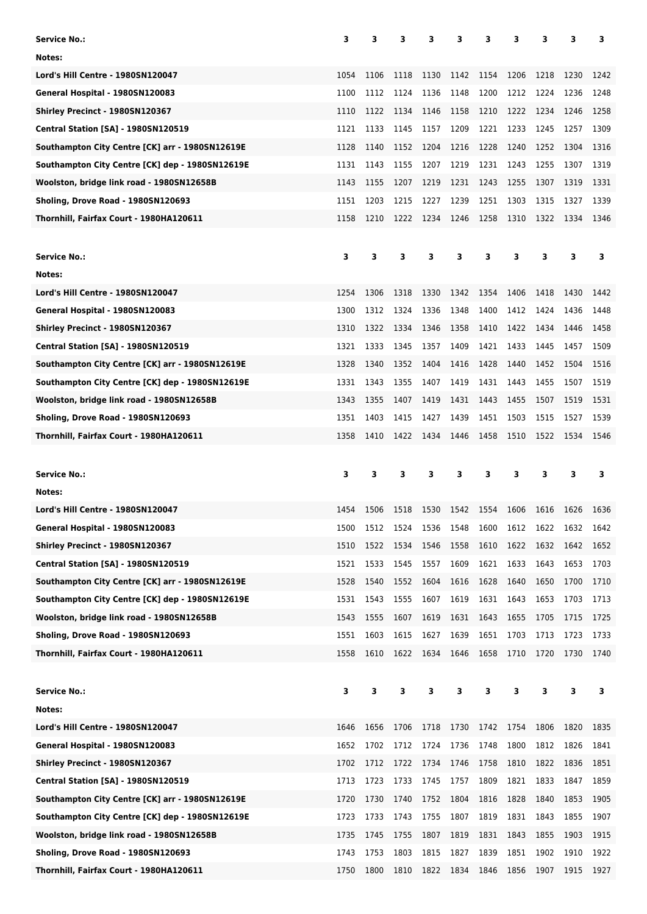| Service No.:                                    | 3    | 3    | 3    | з    | 3    | 3    | 3    | 3    | 3    | 3    |
|-------------------------------------------------|------|------|------|------|------|------|------|------|------|------|
| Notes:                                          |      |      |      |      |      |      |      |      |      |      |
| <b>Lord's Hill Centre - 1980SN120047</b>        | 1054 | 1106 | 1118 | 1130 | 1142 | 1154 | 1206 | 1218 | 1230 | 1242 |
| General Hospital - 1980SN120083                 | 1100 | 1112 | 1124 | 1136 | 1148 | 1200 | 1212 | 1224 | 1236 | 1248 |
| Shirley Precinct - 1980SN120367                 | 1110 | 1122 | 1134 | 1146 | 1158 | 1210 | 1222 | 1234 | 1246 | 1258 |
| <b>Central Station [SA] - 1980SN120519</b>      | 1121 | 1133 | 1145 | 1157 | 1209 | 1221 | 1233 | 1245 | 1257 | 1309 |
| Southampton City Centre [CK] arr - 1980SN12619E | 1128 | 1140 | 1152 | 1204 | 1216 | 1228 | 1240 | 1252 | 1304 | 1316 |
| Southampton City Centre [CK] dep - 1980SN12619E | 1131 | 1143 | 1155 | 1207 | 1219 | 1231 | 1243 | 1255 | 1307 | 1319 |
| Woolston, bridge link road - 1980SN12658B       | 1143 | 1155 | 1207 | 1219 | 1231 | 1243 | 1255 | 1307 | 1319 | 1331 |
| Sholing, Drove Road - 1980SN120693              | 1151 | 1203 | 1215 | 1227 | 1239 | 1251 | 1303 | 1315 | 1327 | 1339 |
| Thornhill, Fairfax Court - 1980HA120611         | 1158 | 1210 | 1222 | 1234 | 1246 | 1258 | 1310 | 1322 | 1334 | 1346 |
|                                                 |      |      |      |      |      |      |      |      |      |      |
| Service No.:                                    | з    | 3    | з    | З    | 3    | 3    | З    | 3    | 3    | 3    |
| Notes:                                          |      |      |      |      |      |      |      |      |      |      |
| Lord's Hill Centre - 1980SN120047               | 1254 | 1306 | 1318 | 1330 | 1342 | 1354 | 1406 | 1418 | 1430 | 1442 |
| General Hospital - 1980SN120083                 | 1300 | 1312 | 1324 | 1336 | 1348 | 1400 | 1412 | 1424 | 1436 | 1448 |
| Shirley Precinct - 1980SN120367                 | 1310 | 1322 | 1334 | 1346 | 1358 | 1410 | 1422 | 1434 | 1446 | 1458 |
| Central Station [SA] - 1980SN120519             | 1321 | 1333 | 1345 | 1357 | 1409 | 1421 | 1433 | 1445 | 1457 | 1509 |
| Southampton City Centre [CK] arr - 1980SN12619E | 1328 | 1340 | 1352 | 1404 | 1416 | 1428 | 1440 | 1452 | 1504 | 1516 |
| Southampton City Centre [CK] dep - 1980SN12619E | 1331 | 1343 | 1355 | 1407 | 1419 | 1431 | 1443 | 1455 | 1507 | 1519 |
| Woolston, bridge link road - 1980SN12658B       | 1343 | 1355 | 1407 | 1419 | 1431 | 1443 | 1455 | 1507 | 1519 | 1531 |
| Sholing, Drove Road - 1980SN120693              | 1351 | 1403 | 1415 | 1427 | 1439 | 1451 | 1503 | 1515 | 1527 | 1539 |
| Thornhill, Fairfax Court - 1980HA120611         | 1358 | 1410 | 1422 | 1434 | 1446 | 1458 | 1510 | 1522 | 1534 | 1546 |
|                                                 |      |      |      |      |      |      |      |      |      |      |
|                                                 |      |      |      |      |      |      |      |      |      |      |
| <b>Service No.:</b>                             | 3    | 3    | 3    | 3    | 3    | 3    | З    | 3    | 3    | 3    |
| Notes:                                          |      |      |      |      |      |      |      |      |      |      |
| Lord's Hill Centre - 1980SN120047               | 1454 | 1506 | 1518 | 1530 | 1542 | 1554 | 1606 | 1616 | 1626 | 1636 |
| General Hospital - 1980SN120083                 | 1500 | 1512 | 1524 | 1536 | 1548 | 1600 | 1612 | 1622 | 1632 | 1642 |
| Shirley Precinct - 1980SN120367                 | 1510 | 1522 | 1534 | 1546 | 1558 | 1610 | 1622 | 1632 | 1642 | 1652 |
| Central Station [SA] - 1980SN120519             | 1521 | 1533 | 1545 | 1557 | 1609 | 1621 | 1633 | 1643 | 1653 | 1703 |
| Southampton City Centre [CK] arr - 1980SN12619E | 1528 | 1540 | 1552 | 1604 | 1616 | 1628 | 1640 | 1650 | 1700 | 1710 |
| Southampton City Centre [CK] dep - 1980SN12619E | 1531 | 1543 | 1555 | 1607 | 1619 | 1631 | 1643 | 1653 | 1703 | 1713 |
| Woolston, bridge link road - 1980SN12658B       | 1543 | 1555 | 1607 | 1619 | 1631 | 1643 | 1655 | 1705 | 1715 | 1725 |
| Sholing, Drove Road - 1980SN120693              | 1551 | 1603 | 1615 | 1627 | 1639 | 1651 | 1703 | 1713 | 1723 | 1733 |
| Thornhill, Fairfax Court - 1980HA120611         | 1558 | 1610 | 1622 | 1634 | 1646 | 1658 | 1710 | 1720 | 1730 | 1740 |
|                                                 |      |      |      |      |      |      |      |      |      |      |
| <b>Service No.:</b>                             | 3    | з    | 3    | 3    | 3    | 3    | 3    | 3    | 3    | 3    |
| Notes:                                          |      |      |      |      |      |      |      |      |      |      |
| <b>Lord's Hill Centre - 1980SN120047</b>        | 1646 | 1656 | 1706 | 1718 | 1730 | 1742 | 1754 | 1806 | 1820 | 1835 |
| General Hospital - 1980SN120083                 | 1652 | 1702 | 1712 | 1724 | 1736 | 1748 | 1800 | 1812 | 1826 | 1841 |
| Shirley Precinct - 1980SN120367                 | 1702 | 1712 | 1722 | 1734 | 1746 | 1758 | 1810 | 1822 | 1836 | 1851 |
| <b>Central Station [SA] - 1980SN120519</b>      | 1713 | 1723 | 1733 | 1745 | 1757 | 1809 | 1821 | 1833 | 1847 | 1859 |
| Southampton City Centre [CK] arr - 1980SN12619E | 1720 | 1730 | 1740 | 1752 | 1804 | 1816 | 1828 | 1840 | 1853 | 1905 |
| Southampton City Centre [CK] dep - 1980SN12619E | 1723 | 1733 | 1743 | 1755 | 1807 | 1819 | 1831 | 1843 | 1855 | 1907 |
| Woolston, bridge link road - 1980SN12658B       | 1735 | 1745 | 1755 | 1807 | 1819 | 1831 | 1843 | 1855 | 1903 | 1915 |
| Sholing, Drove Road - 1980SN120693              | 1743 | 1753 | 1803 | 1815 | 1827 | 1839 | 1851 | 1902 | 1910 | 1922 |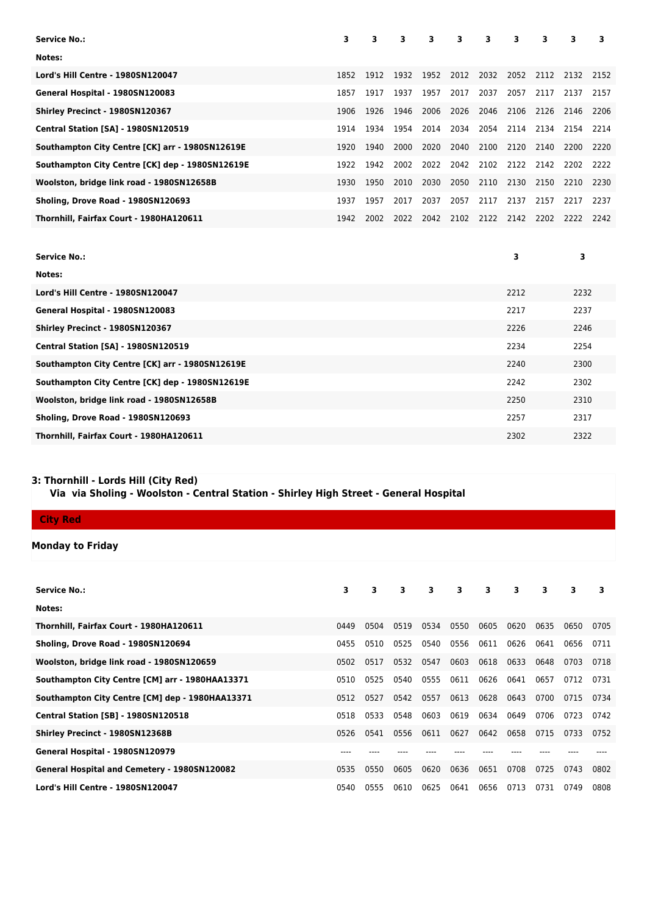| <b>Service No.:</b>                             | 3    | 3    | 3    | 3    | 3    | 3    | 3    | 3    | 3    | 3    |
|-------------------------------------------------|------|------|------|------|------|------|------|------|------|------|
| Notes:                                          |      |      |      |      |      |      |      |      |      |      |
| Lord's Hill Centre - 1980SN120047               | 1852 | 1912 | 1932 | 1952 | 2012 | 2032 | 2052 | 2112 | 2132 | 2152 |
| General Hospital - 1980SN120083                 | 1857 | 1917 | 1937 | 1957 | 2017 | 2037 | 2057 | 2117 | 2137 | 2157 |
| Shirley Precinct - 1980SN120367                 | 1906 | 1926 | 1946 | 2006 | 2026 | 2046 | 2106 | 2126 | 2146 | 2206 |
| <b>Central Station [SA] - 1980SN120519</b>      | 1914 | 1934 | 1954 | 2014 | 2034 | 2054 | 2114 | 2134 | 2154 | 2214 |
| Southampton City Centre [CK] arr - 1980SN12619E | 1920 | 1940 | 2000 | 2020 | 2040 | 2100 | 2120 | 2140 | 2200 | 2220 |
| Southampton City Centre [CK] dep - 1980SN12619E | 1922 | 1942 | 2002 | 2022 | 2042 | 2102 | 2122 | 2142 | 2202 | 2222 |
| Woolston, bridge link road - 1980SN12658B       | 1930 | 1950 | 2010 | 2030 | 2050 | 2110 | 2130 | 2150 | 2210 | 2230 |
| Sholing, Drove Road - 1980SN120693              | 1937 | 1957 | 2017 | 2037 | 2057 | 2117 | 2137 | 2157 | 2217 | 2237 |
| Thornhill, Fairfax Court - 1980HA120611         | 1942 | 2002 | 2022 | 2042 | 2102 | 2122 | 2142 | 2202 | 2222 | 2242 |
|                                                 |      |      |      |      |      |      |      |      |      |      |
| <b>Service No.:</b>                             |      |      |      |      |      |      | 3    |      | 3    |      |
| Notes:                                          |      |      |      |      |      |      |      |      |      |      |
| Lord's Hill Centre - 1980SN120047               |      |      |      |      |      |      | 2212 |      | 2232 |      |
| General Hospital - 1980SN120083                 |      |      |      |      |      |      | 2217 |      | 2237 |      |
| Shirley Precinct - 1980SN120367                 |      |      |      |      |      |      | 2226 |      | 2246 |      |
| Central Station [SA] - 1980SN120519             |      |      |      |      |      |      | 2234 |      | 2254 |      |
| Southampton City Centre [CK] arr - 1980SN12619E |      |      |      |      |      |      | 2240 |      | 2300 |      |
| Southampton City Centre [CK] dep - 1980SN12619E |      |      |      |      |      |      | 2242 |      | 2302 |      |
| Woolston, bridge link road - 1980SN12658B       |      |      |      |      |      |      | 2250 |      | 2310 |      |
| Sholing, Drove Road - 1980SN120693              |      |      |      |      |      |      | 2257 |      | 2317 |      |

**Thornhill, Fairfax Court - 1980HA120611** 2302 2322

## **3: Thornhill - Lords Hill (City Red)**

 **Via via Sholing - Woolston - Central Station - Shirley High Street - General Hospital**

**Monday to Friday**

| <b>Service No.:</b>                                 | 3    | 3    | 3    | $\overline{\mathbf{3}}$ | $\overline{\mathbf{3}}$ | $\overline{\mathbf{3}}$ | 3    | 3    | 3    | 3    |
|-----------------------------------------------------|------|------|------|-------------------------|-------------------------|-------------------------|------|------|------|------|
| Notes:                                              |      |      |      |                         |                         |                         |      |      |      |      |
| Thornhill, Fairfax Court - 1980HA120611             | 0449 | 0504 | 0519 | 0534                    | 0550                    | 0605                    | 0620 | 0635 | 0650 | 0705 |
| Sholing, Drove Road - 1980SN120694                  | 0455 | 0510 | 0525 | 0540                    | 0556                    | 0611                    | 0626 | 0641 | 0656 | 0711 |
| Woolston, bridge link road - 1980SN120659           | 0502 | 0517 | 0532 | 0547                    | 0603                    | 0618                    | 0633 | 0648 | 0703 | 0718 |
| Southampton City Centre [CM] arr - 1980HAA13371     | 0510 | 0525 | 0540 | 0555                    | 0611                    | 0626                    | 0641 | 0657 | 0712 | 0731 |
| Southampton City Centre [CM] dep - 1980HAA13371     | 0512 | 0527 | 0542 | 0557                    | 0613                    | 0628                    | 0643 | 0700 | 0715 | 0734 |
| <b>Central Station [SB] - 1980SN120518</b>          | 0518 | 0533 | 0548 | 0603                    | 0619                    | 0634                    | 0649 | 0706 | 0723 | 0742 |
| Shirley Precinct - 1980SN12368B                     | 0526 | 0541 | 0556 | 0611                    | 0627                    | 0642                    | 0658 | 0715 | 0733 | 0752 |
| General Hospital - 1980SN120979                     | ---- |      |      |                         |                         |                         |      |      |      |      |
| <b>General Hospital and Cemetery - 1980SN120082</b> | 0535 | 0550 | 0605 | 0620                    | 0636                    | 0651                    | 0708 | 0725 | 0743 | 0802 |
| Lord's Hill Centre - 1980SN120047                   | 0540 | 0555 | 0610 | 0625                    | 0641                    | 0656                    | 0713 | 0731 | 0749 | 0808 |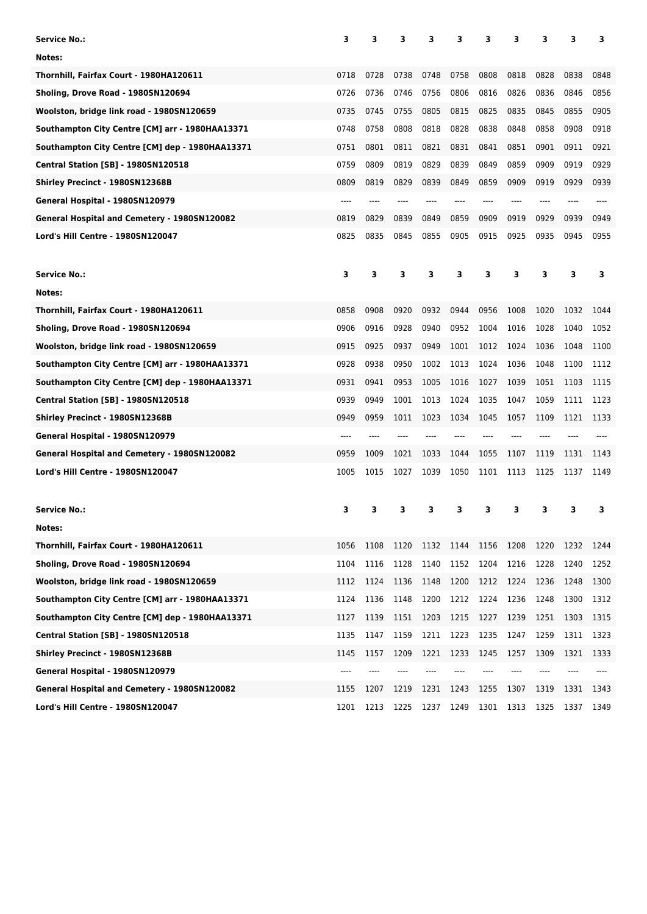| <b>Service No.:</b>                             | 3    | 3    | з    | 3    | 3    | 3    | 3    | 3    | 3    | 3    |
|-------------------------------------------------|------|------|------|------|------|------|------|------|------|------|
| Notes:                                          |      |      |      |      |      |      |      |      |      |      |
| Thornhill, Fairfax Court - 1980HA120611         | 0718 | 0728 | 0738 | 0748 | 0758 | 0808 | 0818 | 0828 | 0838 | 0848 |
| Sholing, Drove Road - 1980SN120694              | 0726 | 0736 | 0746 | 0756 | 0806 | 0816 | 0826 | 0836 | 0846 | 0856 |
| Woolston, bridge link road - 1980SN120659       | 0735 | 0745 | 0755 | 0805 | 0815 | 0825 | 0835 | 0845 | 0855 | 0905 |
| Southampton City Centre [CM] arr - 1980HAA13371 | 0748 | 0758 | 0808 | 0818 | 0828 | 0838 | 0848 | 0858 | 0908 | 0918 |
| Southampton City Centre [CM] dep - 1980HAA13371 | 0751 | 0801 | 0811 | 0821 | 0831 | 0841 | 0851 | 0901 | 0911 | 0921 |
| <b>Central Station [SB] - 1980SN120518</b>      | 0759 | 0809 | 0819 | 0829 | 0839 | 0849 | 0859 | 0909 | 0919 | 0929 |
| Shirley Precinct - 1980SN12368B                 | 0809 | 0819 | 0829 | 0839 | 0849 | 0859 | 0909 | 0919 | 0929 | 0939 |
| General Hospital - 1980SN120979                 | ---- | ---- | ---- | ---- | ---- | ---- | ---- | ---- |      |      |
| General Hospital and Cemetery - 1980SN120082    | 0819 | 0829 | 0839 | 0849 | 0859 | 0909 | 0919 | 0929 | 0939 | 0949 |
| Lord's Hill Centre - 1980SN120047               | 0825 | 0835 | 0845 | 0855 | 0905 | 0915 | 0925 | 0935 | 0945 | 0955 |
| <b>Service No.:</b>                             | з    | 3    | 3    | 3    | 3    | з    | з    | 3    | 3    | з    |
| Notes:                                          |      |      |      |      |      |      |      |      |      |      |
| Thornhill, Fairfax Court - 1980HA120611         | 0858 | 0908 | 0920 | 0932 | 0944 | 0956 | 1008 | 1020 | 1032 | 1044 |
| Sholing, Drove Road - 1980SN120694              | 0906 | 0916 | 0928 | 0940 | 0952 | 1004 | 1016 | 1028 | 1040 | 1052 |
| Woolston, bridge link road - 1980SN120659       | 0915 | 0925 | 0937 | 0949 | 1001 | 1012 | 1024 | 1036 | 1048 | 1100 |
| Southampton City Centre [CM] arr - 1980HAA13371 | 0928 | 0938 | 0950 | 1002 | 1013 | 1024 | 1036 | 1048 | 1100 | 1112 |
| Southampton City Centre [CM] dep - 1980HAA13371 | 0931 | 0941 | 0953 | 1005 | 1016 | 1027 | 1039 | 1051 | 1103 | 1115 |
| <b>Central Station [SB] - 1980SN120518</b>      | 0939 | 0949 | 1001 | 1013 | 1024 | 1035 | 1047 | 1059 | 1111 | 1123 |
| Shirley Precinct - 1980SN12368B                 | 0949 | 0959 | 1011 | 1023 | 1034 | 1045 | 1057 | 1109 | 1121 | 1133 |
| General Hospital - 1980SN120979                 | ---- |      |      |      |      |      |      |      |      |      |
| General Hospital and Cemetery - 1980SN120082    | 0959 | 1009 | 1021 | 1033 | 1044 | 1055 | 1107 | 1119 | 1131 | 1143 |
| Lord's Hill Centre - 1980SN120047               | 1005 | 1015 | 1027 | 1039 | 1050 | 1101 | 1113 | 1125 | 1137 | 1149 |
| <b>Service No.:</b>                             | 3    | з    | 3    | 3    | 3    | 3    | 3    | 3    | 3    | 3    |
| Notes:                                          |      |      |      |      |      |      |      |      |      |      |
| Thornhill, Fairfax Court - 1980HA120611         | 1056 | 1108 | 1120 | 1132 | 1144 | 1156 | 1208 | 1220 | 1232 | 1244 |
| Sholing, Drove Road - 1980SN120694              | 1104 | 1116 | 1128 | 1140 | 1152 | 1204 | 1216 | 1228 | 1240 | 1252 |
| Woolston, bridge link road - 1980SN120659       | 1112 | 1124 | 1136 | 1148 | 1200 | 1212 | 1224 | 1236 | 1248 | 1300 |
| Southampton City Centre [CM] arr - 1980HAA13371 | 1124 | 1136 | 1148 | 1200 | 1212 | 1224 | 1236 | 1248 | 1300 | 1312 |
| Southampton City Centre [CM] dep - 1980HAA13371 | 1127 | 1139 | 1151 | 1203 | 1215 | 1227 | 1239 | 1251 | 1303 | 1315 |
| <b>Central Station [SB] - 1980SN120518</b>      | 1135 | 1147 | 1159 | 1211 | 1223 | 1235 | 1247 | 1259 | 1311 | 1323 |
| Shirley Precinct - 1980SN12368B                 | 1145 | 1157 | 1209 | 1221 | 1233 | 1245 | 1257 | 1309 | 1321 | 1333 |
| General Hospital - 1980SN120979                 | ---- |      |      |      |      |      |      |      |      |      |
| General Hospital and Cemetery - 1980SN120082    | 1155 | 1207 | 1219 | 1231 | 1243 | 1255 | 1307 | 1319 | 1331 | 1343 |
| Lord's Hill Centre - 1980SN120047               | 1201 | 1213 | 1225 | 1237 | 1249 | 1301 | 1313 | 1325 | 1337 | 1349 |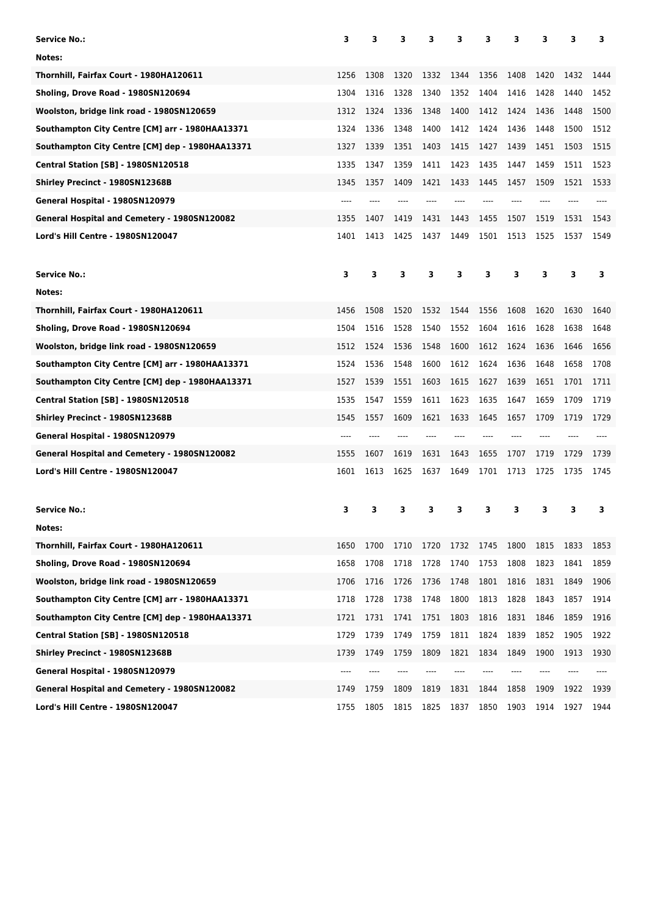| <b>Service No.:</b>                                                                          | 3            | з            | з            | 3            | 3            | 3            | з            | 3            | 3            | 3            |
|----------------------------------------------------------------------------------------------|--------------|--------------|--------------|--------------|--------------|--------------|--------------|--------------|--------------|--------------|
| Notes:                                                                                       |              |              |              |              |              |              |              |              |              |              |
| Thornhill, Fairfax Court - 1980HA120611                                                      | 1256         | 1308         | 1320         | 1332         | 1344         | 1356         | 1408         | 1420         | 1432         | 1444         |
| Sholing, Drove Road - 1980SN120694                                                           | 1304         | 1316         | 1328         | 1340         | 1352         | 1404         | 1416         | 1428         | 1440         | 1452         |
| Woolston, bridge link road - 1980SN120659                                                    | 1312         | 1324         | 1336         | 1348         | 1400         | 1412         | 1424         | 1436         | 1448         | 1500         |
| Southampton City Centre [CM] arr - 1980HAA13371                                              | 1324         | 1336         | 1348         | 1400         | 1412         | 1424         | 1436         | 1448         | 1500         | 1512         |
| Southampton City Centre [CM] dep - 1980HAA13371                                              | 1327         | 1339         | 1351         | 1403         | 1415         | 1427         | 1439         | 1451         | 1503         | 1515         |
| <b>Central Station [SB] - 1980SN120518</b>                                                   | 1335         | 1347         | 1359         | 1411         | 1423         | 1435         | 1447         | 1459         | 1511         | 1523         |
| Shirley Precinct - 1980SN12368B                                                              | 1345         | 1357         | 1409         | 1421         | 1433         | 1445         | 1457         | 1509         | 1521         | 1533         |
| General Hospital - 1980SN120979                                                              | ----         |              |              |              |              |              |              |              |              |              |
| General Hospital and Cemetery - 1980SN120082                                                 | 1355         | 1407         | 1419         | 1431         | 1443         | 1455         | 1507         | 1519         | 1531         | 1543         |
| Lord's Hill Centre - 1980SN120047                                                            | 1401         | 1413         | 1425         | 1437         | 1449         | 1501         | 1513         | 1525         | 1537         | 1549         |
| <b>Service No.:</b>                                                                          | 3            | 3            | 3            | з            | 3            | з            | з            | 3            | 3            | з            |
| Notes:                                                                                       |              |              |              |              |              |              |              |              |              |              |
| Thornhill, Fairfax Court - 1980HA120611                                                      | 1456         | 1508         | 1520         | 1532         | 1544         | 1556         | 1608         | 1620         | 1630         | 1640         |
| Sholing, Drove Road - 1980SN120694                                                           | 1504         | 1516         | 1528         | 1540         | 1552         | 1604         | 1616         | 1628         | 1638         | 1648         |
| Woolston, bridge link road - 1980SN120659                                                    | 1512         | 1524         | 1536         | 1548         | 1600         | 1612         | 1624         | 1636         | 1646         | 1656         |
| Southampton City Centre [CM] arr - 1980HAA13371                                              | 1524         | 1536         | 1548         | 1600         | 1612         | 1624         | 1636         | 1648         | 1658         | 1708         |
| Southampton City Centre [CM] dep - 1980HAA13371                                              | 1527         | 1539         | 1551         | 1603         | 1615         | 1627         | 1639         | 1651         | 1701         | 1711         |
| <b>Central Station [SB] - 1980SN120518</b>                                                   | 1535         | 1547         | 1559         | 1611         | 1623         | 1635         | 1647         | 1659         | 1709         | 1719         |
| Shirley Precinct - 1980SN12368B                                                              | 1545         | 1557         | 1609         | 1621         | 1633         | 1645         | 1657         | 1709         | 1719         | 1729         |
| General Hospital - 1980SN120979                                                              | ----         |              |              |              |              |              |              |              |              |              |
| General Hospital and Cemetery - 1980SN120082                                                 | 1555         | 1607         | 1619         | 1631         | 1643         | 1655         | 1707         | 1719         | 1729         | 1739         |
| Lord's Hill Centre - 1980SN120047                                                            | 1601         | 1613         | 1625         | 1637         | 1649         | 1701         | 1713         | 1725         | 1735         | 1745         |
|                                                                                              |              |              |              |              |              |              |              |              |              |              |
| <b>Service No.:</b>                                                                          | 3            | 3            | 3            | 3            | 3            | 3            | 3            | 3            | 3            | з            |
| Notes:                                                                                       |              |              |              |              |              |              |              |              |              |              |
| Thornhill, Fairfax Court - 1980HA120611                                                      | 1650         | 1700<br>1708 | 1710         | 1720         | 1732         | 1745<br>1753 | 1800<br>1808 | 1815         | 1833         | 1853         |
| Sholing, Drove Road - 1980SN120694                                                           | 1658         |              | 1718<br>1726 | 1728<br>1736 | 1740<br>1748 | 1801         | 1816         | 1823<br>1831 | 1841         | 1859<br>1906 |
| Woolston, bridge link road - 1980SN120659<br>Southampton City Centre [CM] arr - 1980HAA13371 | 1706         | 1716         | 1738         | 1748         | 1800         | 1813         | 1828         | 1843         | 1849         |              |
| Southampton City Centre [CM] dep - 1980HAA13371                                              | 1718<br>1721 | 1728<br>1731 | 1741         | 1751         | 1803         | 1816         | 1831         | 1846         | 1857<br>1859 | 1914<br>1916 |
|                                                                                              |              |              |              |              |              |              |              |              |              |              |
| <b>Central Station [SB] - 1980SN120518</b>                                                   | 1729<br>1739 | 1739         | 1749         | 1759<br>1809 | 1811         | 1824<br>1834 | 1839<br>1849 | 1852<br>1900 | 1905         | 1922         |
| Shirley Precinct - 1980SN12368B<br>General Hospital - 1980SN120979                           | ----         | 1749<br>---- | 1759         | ----         | 1821         | ----         |              |              | 1913         | 1930<br>---- |
| General Hospital and Cemetery - 1980SN120082                                                 |              |              |              |              |              |              |              |              | 1922         | 1939         |
| Lord's Hill Centre - 1980SN120047                                                            | 1749<br>1755 | 1759<br>1805 | 1809<br>1815 | 1819<br>1825 | 1831<br>1837 | 1844<br>1850 | 1858<br>1903 | 1909<br>1914 | 1927         | 1944         |